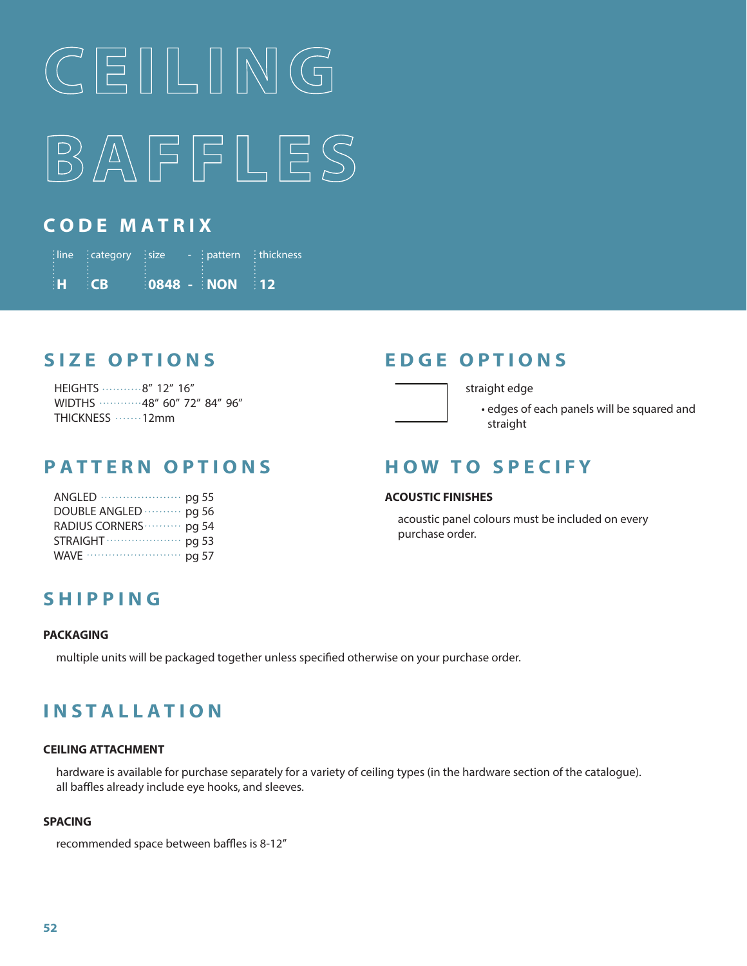

### **C O D E M A T R I X**

|          | $\frac{1}{2}$ line $\frac{1}{2}$ category $\frac{1}{2}$ size |                   | - : pattern : thickness |
|----------|--------------------------------------------------------------|-------------------|-------------------------|
| $H$ $CD$ |                                                              | $10848 - 100N$ 12 |                         |

## **S I Z E O P T I O N S**

HEIGHTS  $\cdots$  8" 12" 16" WIDTHS  $\cdots$  48" 60" 72" 84" 96" THICKNESS .......12mm

## **P A T T E R N O P T I O N S**

#### **E D G E O P T I O N S**



straight edge

• edges of each panels will be squared and straight

## **H O W T O S P E C I F Y**

#### **ACOUSTIC FINISHES**

acoustic panel colours must be included on every purchase order.

#### ANGLED **pg 55** DOUBLE ANGLED **Processing** 56 RADIUS CORNERS ············ pg 54  $STRAIGHT \cdots \cdots \cdots \cdots \cdots$  pg 53 WAVE  $\cdots$  pg 57

## **S H I P P I N G**

#### **PACKAGING**

multiple units will be packaged together unless specified otherwise on your purchase order.

# **I N S T A L L A T I O N**

#### **CEILING ATTACHMENT**

hardware is available for purchase separately for a variety of ceiling types (in the hardware section of the catalogue). all baffles already include eye hooks, and sleeves.

#### **SPACING**

recommended space between baffles is 8-12"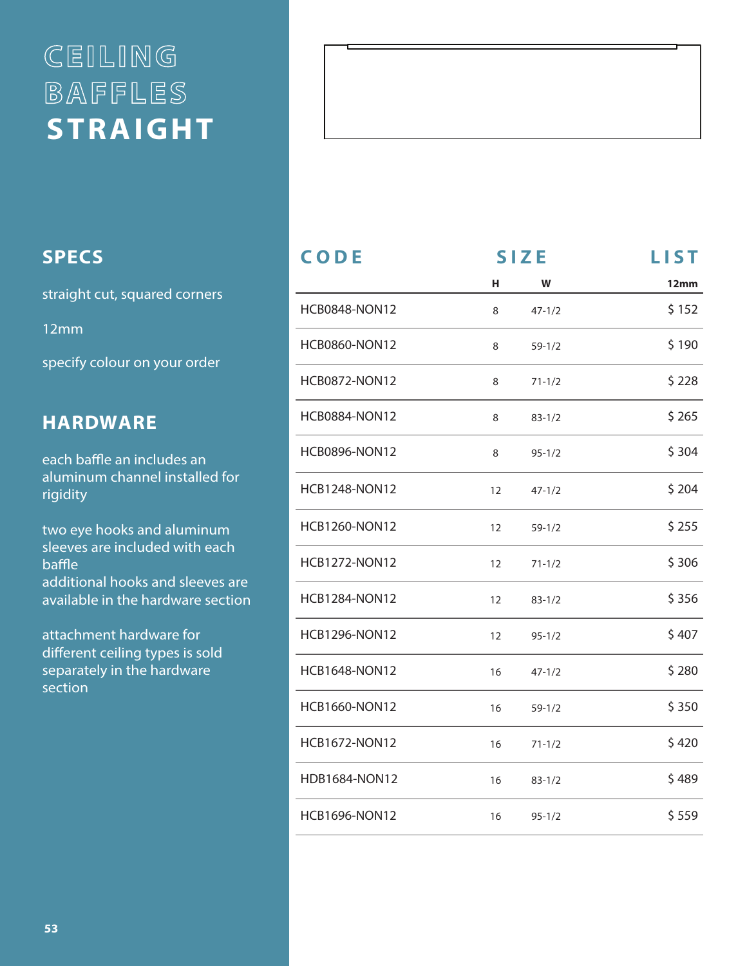# **CEILING BAFFLES STRAIGHT**

## **S P E C S**

straight cut, squared corners

12mm

specify colour on your order

## **HARDWARE**

each baffle an includes an aluminum channel installed for rigidity

two eye hooks and aluminum sleeves are included with each baffle additional hooks and sleeves are available in the hardware section

| CODE                 |                   | <b>SIZE</b> | <b>LIST</b> |
|----------------------|-------------------|-------------|-------------|
|                      | н                 | W           | 12mm        |
| <b>HCB0848-NON12</b> | 8                 | $47 - 1/2$  | \$152       |
| <b>HCB0860-NON12</b> | 8                 | $59 - 1/2$  | \$190       |
| <b>HCB0872-NON12</b> | 8                 | $71 - 1/2$  | \$228       |
| <b>HCB0884-NON12</b> | 8                 | $83 - 1/2$  | \$265       |
| <b>HCB0896-NON12</b> | 8                 | $95 - 1/2$  | \$304       |
| <b>HCB1248-NON12</b> | 12                | $47 - 1/2$  | \$204       |
| <b>HCB1260-NON12</b> | 12                | $59 - 1/2$  | \$255       |
| <b>HCB1272-NON12</b> | $12 \overline{ }$ | $71 - 1/2$  | \$306       |
| <b>HCB1284-NON12</b> | 12                | $83 - 1/2$  | \$356       |
| <b>HCB1296-NON12</b> | 12                | $95 - 1/2$  | \$407       |
| <b>HCB1648-NON12</b> | 16                | $47 - 1/2$  | \$280       |
| <b>HCB1660-NON12</b> | 16                | $59 - 1/2$  | \$350       |
| <b>HCB1672-NON12</b> | 16                | $71 - 1/2$  | \$420       |
| HDB1684-NON12        | 16                | $83 - 1/2$  | \$489       |
| <b>HCB1696-NON12</b> | 16                | $95 - 1/2$  | \$559       |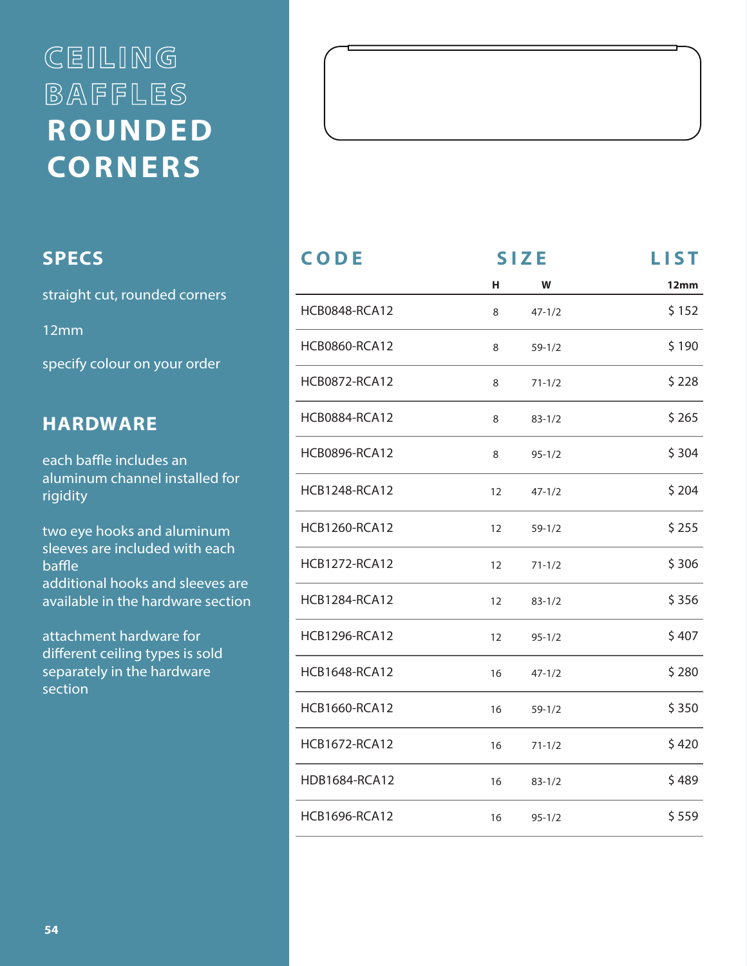# **CEILING BAFFLES ROUNDED CORNERS**

## **S P E C S**

straight cut, rounded corners

12mm

specify colour on your order

### **HARDWARE**

each baffle includes an aluminum channel installed for rigidity

two eye hooks and aluminum sleeves are included with each baffle additional hooks and sleeves are available in the hardware section

| CODE                 | <b>SIZE</b> |            | <b>LIST</b> |
|----------------------|-------------|------------|-------------|
|                      | н           | W          | 12mm        |
| <b>HCB0848-RCA12</b> | 8           | $47 - 1/2$ | \$152       |
| <b>HCB0860-RCA12</b> | 8           | $59 - 1/2$ | \$190       |
| <b>HCB0872-RCA12</b> | 8           | $71 - 1/2$ | \$228       |
| <b>HCB0884-RCA12</b> | 8           | $83 - 1/2$ | \$265       |
| <b>HCB0896-RCA12</b> | 8           | $95 - 1/2$ | \$304       |
| <b>HCB1248-RCA12</b> | 12          | $47 - 1/2$ | \$204       |
| <b>HCB1260-RCA12</b> | 12          | $59 - 1/2$ | \$255       |
| <b>HCB1272-RCA12</b> | 12          | $71 - 1/2$ | \$306       |
| <b>HCB1284-RCA12</b> | 12          | $83 - 1/2$ | \$356       |
| <b>HCB1296-RCA12</b> | 12          | $95 - 1/2$ | \$407       |
| <b>HCB1648-RCA12</b> | 16          | $47 - 1/2$ | \$280       |
| <b>HCB1660-RCA12</b> | 16          | $59 - 1/2$ | \$350       |
| HCB1672-RCA12        | 16          | $71 - 1/2$ | \$420       |
| HDB1684-RCA12        | 16          | $83 - 1/2$ | \$489       |
| <b>HCB1696-RCA12</b> | 16          | $95 - 1/2$ | \$559       |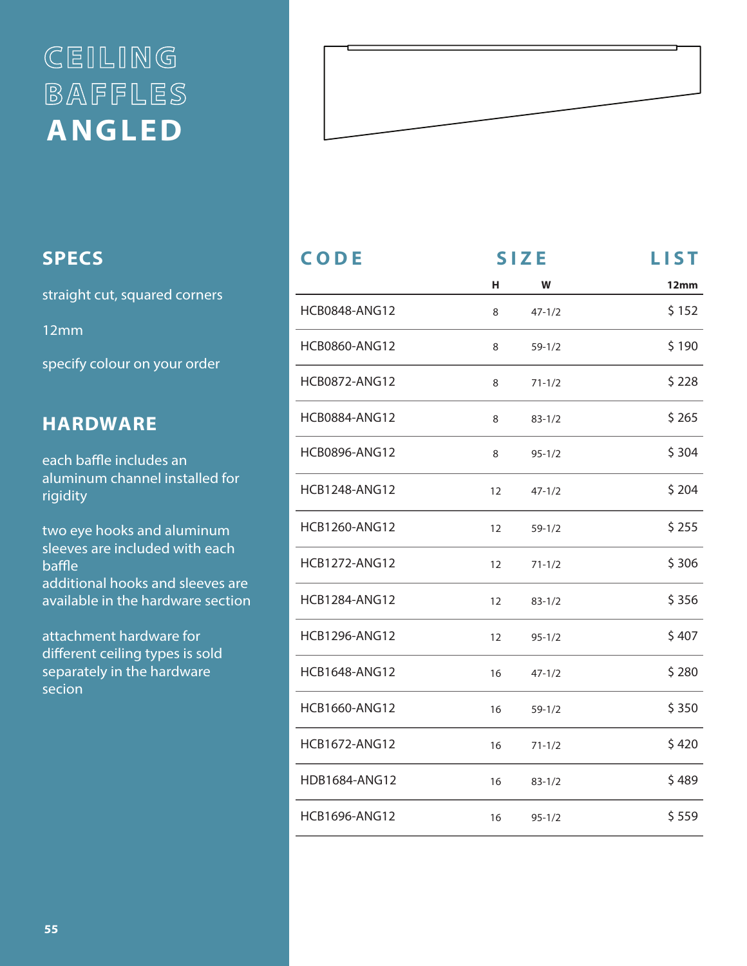# **CEILING BAFFLES ANGLED**

# **S P E C S**

straight cut, squared corners

12mm

specify colour on your order

### **H A R D W A R E**

each baffle includes an aluminum channel installed for rigidity

two eye hooks and aluminum sleeves are included with each baffle additional hooks and sleeves are available in the hardware section

attachment hardware for different ceiling types is sold separately in the hardware secion

# **CODE** SIZE LIST **H W 12mm** HCB0848-ANG12 8 47-1/2 \$ 152 HCB0860-ANG12 8 59-1/2 \$ 190 HCB0872-ANG12 8 71-1/2 \$ 228 HCB0884-ANG12 8 83-1/2 \$ 265 HCB0896-ANG12 8 95-1/2 \$ 304 HCB1248-ANG12 12 47-1/2 \$ 204 HCB1260-ANG12 12 59-1/2 \$ 255 HCB1272-ANG12 12 71-1/2 \$ 306 HCB1284-ANG12 12 83-1/2 \$ 356 HCB1296-ANG12 12 95-1/2 \$407 HCB1648-ANG12 16 47-1/2 \$ 280 HCB1660-ANG12 16 59-1/2 \$ 350 HCB1672-ANG12 16 71-1/2 \$ 420 HDB1684-ANG12 16 83-1/2 \$489 HCB1696-ANG12 16 95-1/2 \$ 559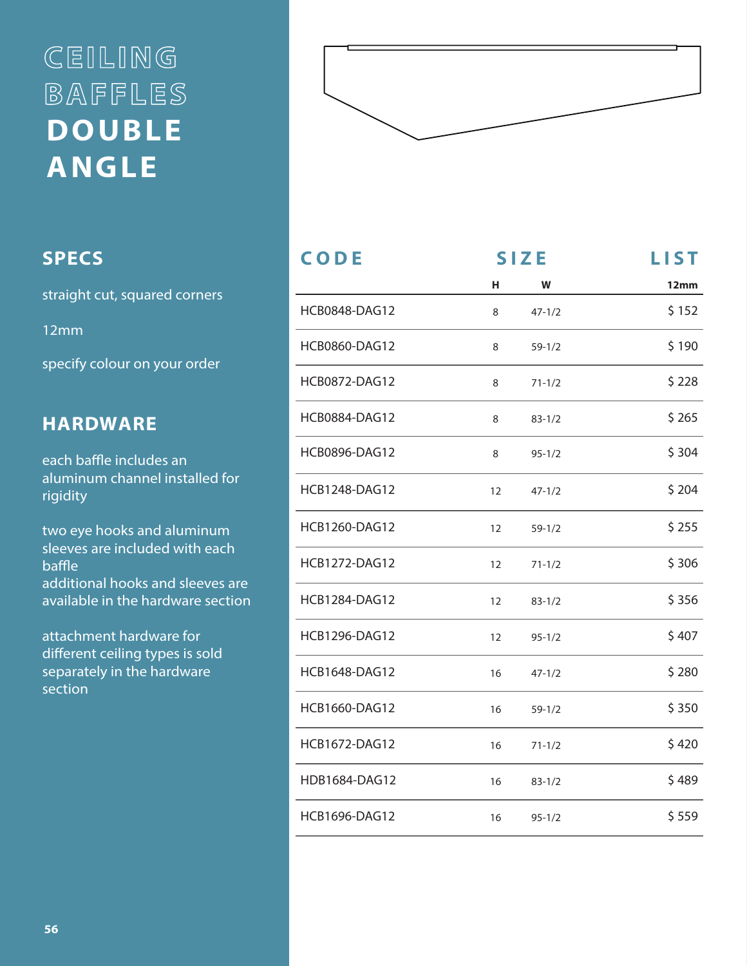# **CEILING BAFFLES DOUBLE ANGLE**

# **S P E C S**

straight cut, squared corners

12mm

specify colour on your order

## **HARDWARE**

each baffle includes an aluminum channel installed for rigidity

two eye hooks and aluminum sleeves are included with each baffle additional hooks and sleeves are available in the hardware section



| CODE                 | <b>SIZE</b>       |            | <b>LIST</b> |
|----------------------|-------------------|------------|-------------|
|                      | н                 | W          | 12mm        |
| <b>HCB0848-DAG12</b> | 8                 | $47 - 1/2$ | \$152       |
| <b>HCB0860-DAG12</b> | 8                 | $59-1/2$   | \$190       |
| <b>HCB0872-DAG12</b> | 8                 | $71 - 1/2$ | \$228       |
| <b>HCB0884-DAG12</b> | 8                 | $83 - 1/2$ | \$265       |
| <b>HCB0896-DAG12</b> | 8                 | $95 - 1/2$ | \$304       |
| <b>HCB1248-DAG12</b> | 12                | $47 - 1/2$ | \$204       |
| <b>HCB1260-DAG12</b> | 12                | $59 - 1/2$ | \$255       |
| <b>HCB1272-DAG12</b> | 12                | $71 - 1/2$ | \$306       |
| HCB1284-DAG12        | 12                | $83 - 1/2$ | \$356       |
| <b>HCB1296-DAG12</b> | $12 \overline{ }$ | $95 - 1/2$ | \$407       |
| <b>HCB1648-DAG12</b> | 16                | $47 - 1/2$ | \$280       |
| HCB1660-DAG12        | 16                | $59 - 1/2$ | \$350       |
| <b>HCB1672-DAG12</b> | 16                | $71 - 1/2$ | \$420       |
| HDB1684-DAG12        | 16                | $83 - 1/2$ | \$489       |
| <b>HCB1696-DAG12</b> | 16                | $95 - 1/2$ | \$559       |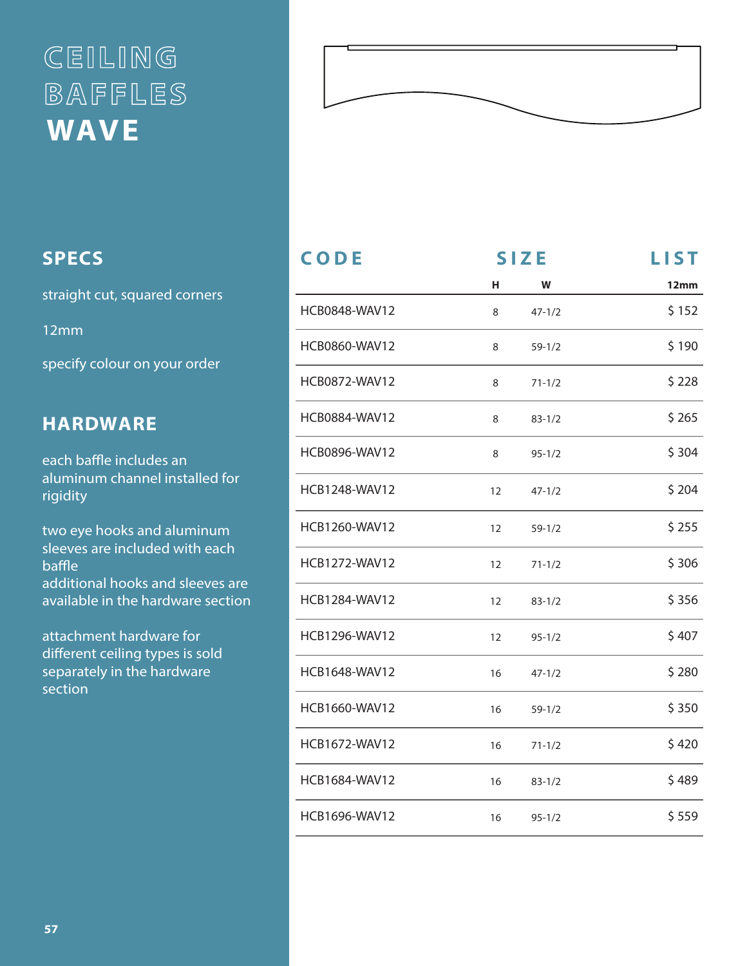# **CEILING BAFFLES WAVE**



## **S P E C S**

straight cut, squared corners

12mm

specify colour on your order

## **HARDWARE**

each baffle includes an aluminum channel installed for rigidity

two eye hooks and aluminum sleeves are included with each baffle additional hooks and sleeves are available in the hardware section

| CODE                 | <b>SIZE</b> |            | <b>LIST</b> |
|----------------------|-------------|------------|-------------|
|                      | н           | W          | 12mm        |
| <b>HCB0848-WAV12</b> | 8           | $47 - 1/2$ | \$152       |
| <b>HCB0860-WAV12</b> | 8           | $59 - 1/2$ | \$190       |
| HCB0872-WAV12        | 8           | $71 - 1/2$ | \$228       |
| <b>HCB0884-WAV12</b> | 8           | $83 - 1/2$ | \$265       |
| <b>HCB0896-WAV12</b> | 8           | $95 - 1/2$ | \$304       |
| <b>HCB1248-WAV12</b> | 12          | $47 - 1/2$ | \$204       |
| <b>HCB1260-WAV12</b> | 12          | $59 - 1/2$ | \$255       |
| <b>HCB1272-WAV12</b> | 12          | $71 - 1/2$ | \$306       |
| <b>HCB1284-WAV12</b> | 12          | $83 - 1/2$ | \$356       |
| <b>HCB1296-WAV12</b> | 12          | $95 - 1/2$ | \$407       |
| <b>HCB1648-WAV12</b> | 16          | $47 - 1/2$ | \$280       |
| <b>HCB1660-WAV12</b> | 16          | $59 - 1/2$ | \$350       |
| HCB1672-WAV12        | 16          | $71 - 1/2$ | \$420       |
| <b>HCB1684-WAV12</b> | 16          | $83 - 1/2$ | \$489       |
| HCB1696-WAV12        | 16          | $95 - 1/2$ | \$559       |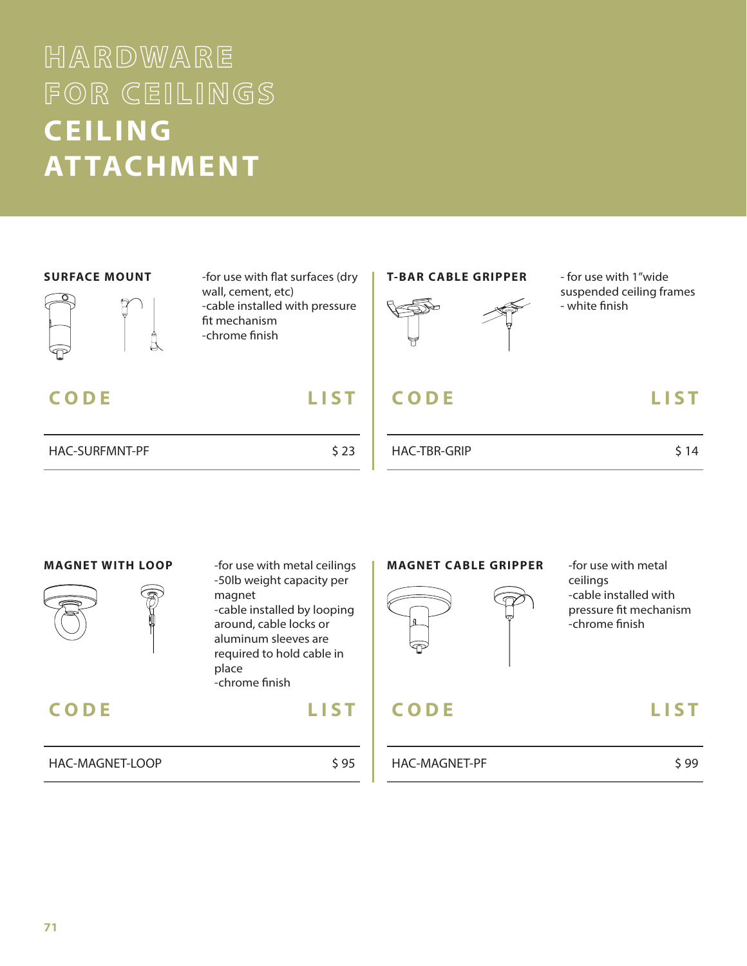# **HARDWARE FOR CEILINGS CEILING AT TACHMENT**



**SURFACE MOUNT** -for use with flat surfaces (dry **T-BAR CABLE GRIPPER** - for use with 1"wide wall, cement, etc) -cable installed with pressure fit mechanism -chrome finish

**C O D E L I S T**



suspended ceiling frames - white finish

**C O D E L I S T**

HAC-SURFMNT-PF \$23

#### HAC-TBR-GRIP \$14

#### **MAGNET WITH LOOP**



-for use with metal ceilings -50lb weight capacity per magnet -cable installed by looping around, cable locks or aluminum sleeves are required to hold cable in place -chrome finish

#### **C O D E L I S T**

HAC-MAGNET-LOOP \$95

#### **MAGNET CABLE GRIPPER**



-for use with metal ceilings -cable installed with pressure fit mechanism -chrome finish

### **C O D E L I S T**

HAC-MAGNET-PF \$ 99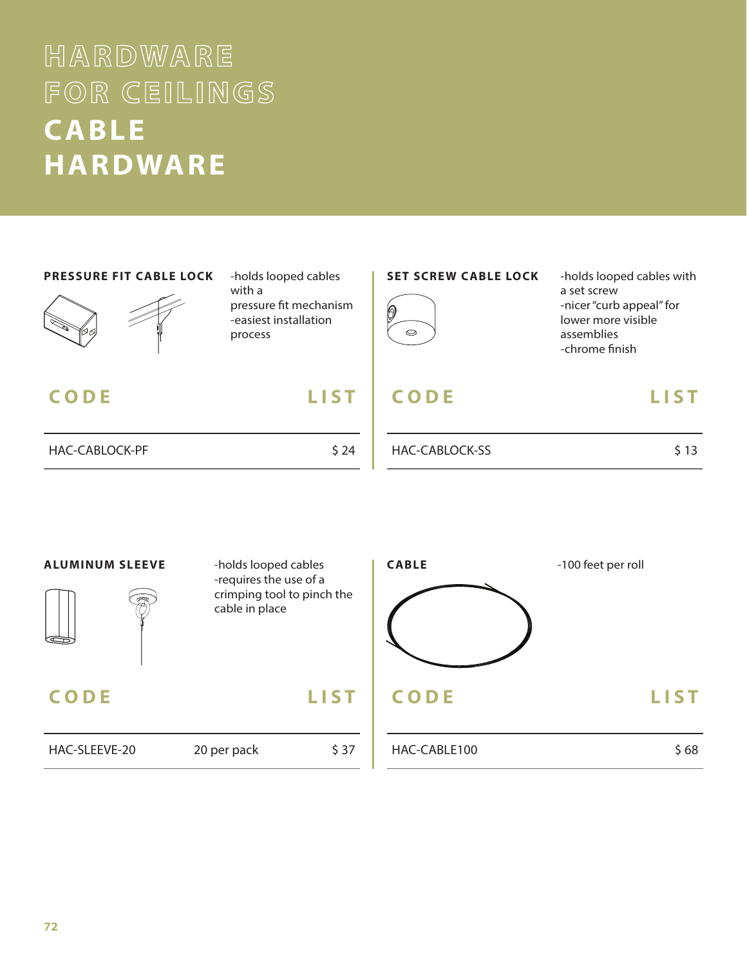# **HARDWARE FOR CEILINGS C ABLE HARDWARE**

#### **PRESSURE FIT CABLE LOCK** -holds looped cables **IF SET SCREW CABLE LOCK** -holds looped cables with

**CODE** LIST

HAC-CABLOCK-PF \$24



-holds looped cables with a pressure fit mechanism -easiest installation process



a set screw -nicer "curb appeal" for lower more visible assemblies -chrome finish

#### **C O D E L I S T**

#### HAC-CABLOCK-SS \$13

#### **ALUMINUM SLEEVE C O D E L I S T** HAC-SLEEVE-20 20 per pack \$ 37 -holds looped cables -requires the use of a crimping tool to pinch the cable in place **CABLE C O D E L I S T** HAC-CABLE100 \$68 -100 feet per roll